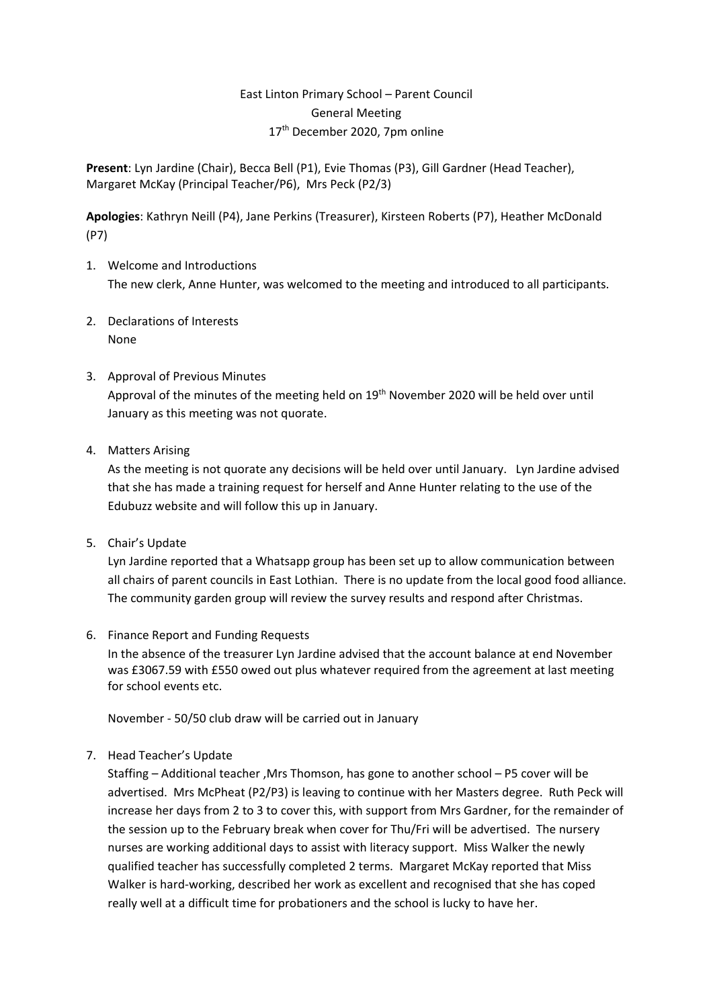## East Linton Primary School – Parent Council General Meeting 17<sup>th</sup> December 2020, 7pm online

**Present**: Lyn Jardine (Chair), Becca Bell (P1), Evie Thomas (P3), Gill Gardner (Head Teacher), Margaret McKay (Principal Teacher/P6), Mrs Peck (P2/3)

**Apologies**: Kathryn Neill (P4), Jane Perkins (Treasurer), Kirsteen Roberts (P7), Heather McDonald (P7)

- 1. Welcome and Introductions The new clerk, Anne Hunter, was welcomed to the meeting and introduced to all participants.
- 2. Declarations of Interests None
- 3. Approval of Previous Minutes Approval of the minutes of the meeting held on 19<sup>th</sup> November 2020 will be held over until January as this meeting was not quorate.
- 4. Matters Arising

As the meeting is not quorate any decisions will be held over until January. Lyn Jardine advised that she has made a training request for herself and Anne Hunter relating to the use of the Edubuzz website and will follow this up in January.

5. Chair's Update

Lyn Jardine reported that a Whatsapp group has been set up to allow communication between all chairs of parent councils in East Lothian. There is no update from the local good food alliance. The community garden group will review the survey results and respond after Christmas.

6. Finance Report and Funding Requests

In the absence of the treasurer Lyn Jardine advised that the account balance at end November was £3067.59 with £550 owed out plus whatever required from the agreement at last meeting for school events etc.

November - 50/50 club draw will be carried out in January

7. Head Teacher's Update

Staffing – Additional teacher ,Mrs Thomson, has gone to another school – P5 cover will be advertised. Mrs McPheat (P2/P3) is leaving to continue with her Masters degree. Ruth Peck will increase her days from 2 to 3 to cover this, with support from Mrs Gardner, for the remainder of the session up to the February break when cover for Thu/Fri will be advertised. The nursery nurses are working additional days to assist with literacy support. Miss Walker the newly qualified teacher has successfully completed 2 terms. Margaret McKay reported that Miss Walker is hard-working, described her work as excellent and recognised that she has coped really well at a difficult time for probationers and the school is lucky to have her.